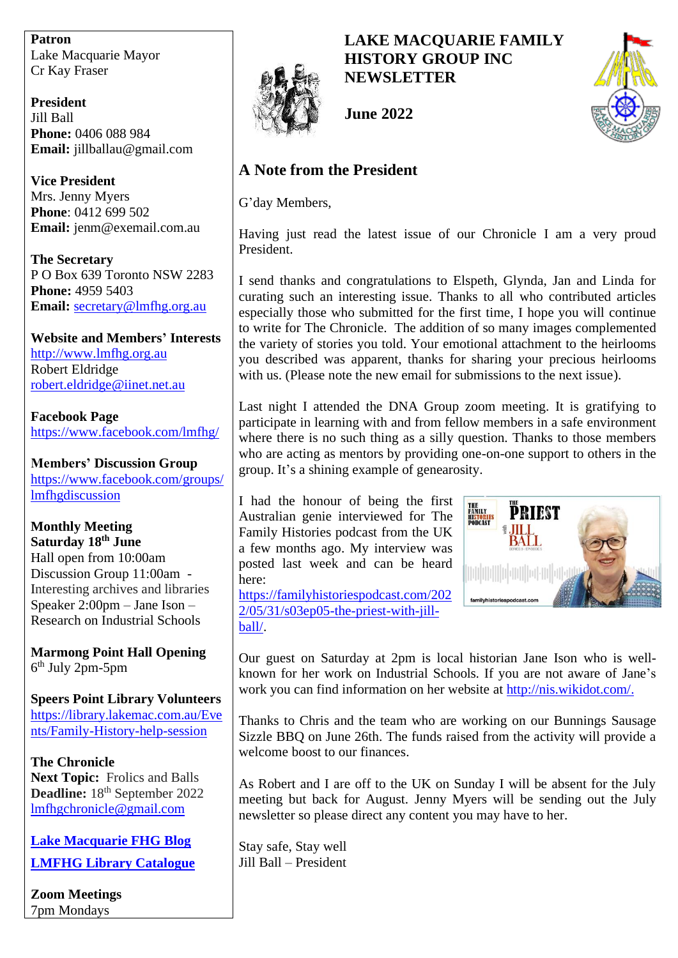**Patron** Lake Macquarie Mayor Cr Kay Fraser

**President** Jill Ball **Phone:** 0406 088 984 **Email:** jillballau@gmail.com

**Vice President** Mrs. Jenny Myers **Phone**: 0412 699 502 **Email:** jenm@exemail.com.au

**The Secretary** P O Box 639 Toronto NSW 2283 **Phone:** 4959 5403 **Email:** [secretary@lmfhg.org.au](mailto:secretary@lmfhg.org.au)

**Website and Members' Interests** [http://www.lmfhg.org.au](http://www.lmfhg.org.au/) Robert Eldridge [robert.eldridge@iinet.net.au](mailto:robert.eldridge@iinet.net.au)

**Facebook Page** <https://www.facebook.com/lmfhg/>

**Members' Discussion Group** [https://www.facebook.com/groups/](https://www.facebook.com/groups/lmfhgdiscussion) [lmfhgdiscussion](https://www.facebook.com/groups/lmfhgdiscussion)

**Monthly Meeting Saturday 18th June** Hall open from 10:00am Discussion Group 11:00am - Interesting archives and libraries Speaker  $2:00$ pm – Jane Ison – Research on Industrial Schools

**Marmong Point Hall Opening** 6 th July 2pm-5pm

**Speers Point Library Volunteers** [https://library.lakemac.com.au/Eve](https://library.lakemac.com.au/Events/Family-History-help-session) [nts/Family-History-help-session](https://library.lakemac.com.au/Events/Family-History-help-session)

**The Chronicle Next Topic:** Frolics and Balls Deadline: 18<sup>th</sup> September 2022 <lmfhgchronicle@gmail.com>

**[Lake Macquarie FHG Blog](https://lakemacfhg.blogspot.com/) [LMFHG Library Catalogue](https://www.librarything.com/profile/LMFHG)**

**Zoom Meetings** 7pm Mondays



# **LAKE MACQUARIE FAMILY HISTORY GROUP INC NEWSLETTER**



**June 2022**

# **A Note from the President**

G'day Members,

Having just read the latest issue of our Chronicle I am a very proud President.

I send thanks and congratulations to Elspeth, Glynda, Jan and Linda for curating such an interesting issue. Thanks to all who contributed articles especially those who submitted for the first time, I hope you will continue to write for The Chronicle. The addition of so many images complemented the variety of stories you told. Your emotional attachment to the heirlooms you described was apparent, thanks for sharing your precious heirlooms with us. (Please note the new email for submissions to the next issue).

Last night I attended the DNA Group zoom meeting. It is gratifying to participate in learning with and from fellow members in a safe environment where there is no such thing as a silly question. Thanks to those members who are acting as mentors by providing one-on-one support to others in the group. It's a shining example of genearosity.

I had the honour of being the first Australian genie interviewed for The Family Histories podcast from the UK a few months ago. My interview was posted last week and can be heard here: [https://familyhistoriespodcast.com/202](https://familyhistoriespodcast.com/2022/05/31/s03ep05-the-priest-with-jill-ball/)

[2/05/31/s03ep05-the-priest-with-jill-](https://familyhistoriespodcast.com/2022/05/31/s03ep05-the-priest-with-jill-ball/)



Our guest on Saturday at 2pm is local historian Jane Ison who is wellknown for her work on Industrial Schools. If you are not aware of Jane's work you can find information on her website at [http://nis.wikidot.com/.](http://nis.wikidot.com/)

Thanks to Chris and the team who are working on our Bunnings Sausage Sizzle BBQ on June 26th. The funds raised from the activity will provide a welcome boost to our finances.

As Robert and I are off to the UK on Sunday I will be absent for the July meeting but back for August. Jenny Myers will be sending out the July newsletter so please direct any content you may have to her.

Stay safe, Stay well Jill Ball – President

[ball/.](https://familyhistoriespodcast.com/2022/05/31/s03ep05-the-priest-with-jill-ball/)